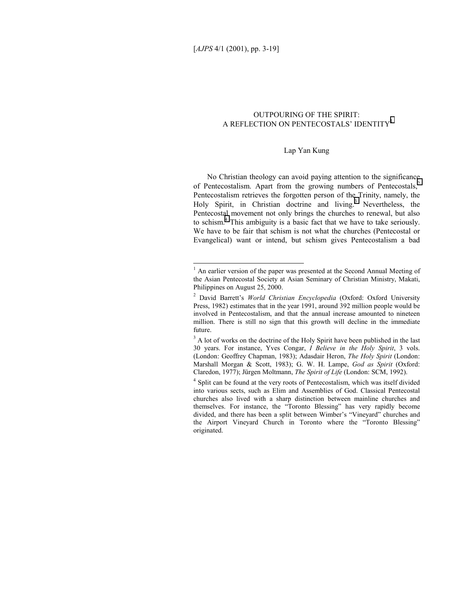$\overline{a}$ 

# OUTPOURING OF THE SPIRIT: A REFLECTION ON PENTECOSTALS' IDENTITY<sup>1</sup>

# Lap Yan Kung

No Christian theology can avoid paying attention to the significance of Pentecostalism. Apart from the growing numbers of Pentecostals,<sup>2</sup> Pentecostalism retrieves the forgotten person of the Trinity, namely, the Holy Spirit, in Christian doctrine and living.<sup>3</sup> Nevertheless, the Pentecostal movement not only brings the churches to renewal, but also to schism.<sup>4</sup> This ambiguity is a basic fact that we have to take seriously. We have to be fair that schism is not what the churches (Pentecostal or Evangelical) want or intend, but schism gives Pentecostalism a bad

<sup>&</sup>lt;sup>1</sup> An earlier version of the paper was presented at the Second Annual Meeting of the Asian Pentecostal Society at Asian Seminary of Christian Ministry, Makati, Philippines on August 25, 2000.

<sup>2</sup> David Barrett's *World Christian Encyclopedia* (Oxford: Oxford University Press, 1982) estimates that in the year 1991, around 392 million people would be involved in Pentecostalism, and that the annual increase amounted to nineteen million. There is still no sign that this growth will decline in the immediate future.

 $3<sup>3</sup>$  A lot of works on the doctrine of the Holy Spirit have been published in the last 30 years. For instance, Yves Congar, *I Believe in the Holy Spirit*, 3 vols. (London: Geoffrey Chapman, 1983); Adasdair Heron, *The Holy Spirit* (London: Marshall Morgan & Scott, 1983); G. W. H. Lampe, *God as Spirit* (Oxford: Claredon, 1977); Jürgen Moltmann, *The Spirit of Life* (London: SCM, 1992).

<sup>&</sup>lt;sup>4</sup> Split can be found at the very roots of Pentecostalism, which was itself divided into various sects, such as Elim and Assemblies of God. Classical Pentecostal churches also lived with a sharp distinction between mainline churches and themselves. For instance, the "Toronto Blessing" has very rapidly become divided, and there has been a split between Wimber's "Vineyard" churches and the Airport Vineyard Church in Toronto where the "Toronto Blessing" originated.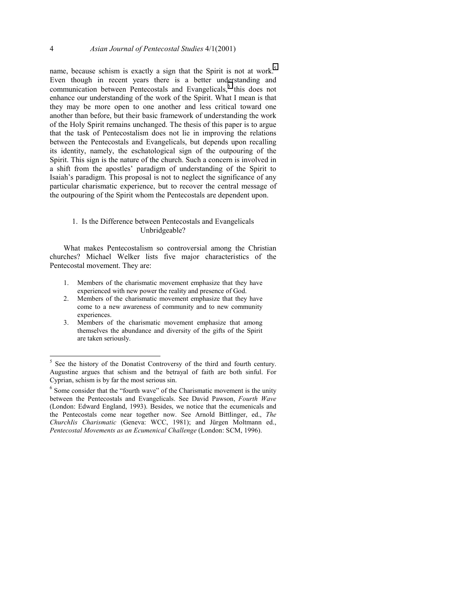# 4 *Asian Journal of Pentecostal Studies* 4/1(2001)

name, because schism is exactly a sign that the Spirit is not at work.<sup>5</sup> Even though in recent years there is a better understanding and communication between Pentecostals and Evangelicals,<sup>6</sup> this does not enhance our understanding of the work of the Spirit. What I mean is that they may be more open to one another and less critical toward one another than before, but their basic framework of understanding the work of the Holy Spirit remains unchanged. The thesis of this paper is to argue that the task of Pentecostalism does not lie in improving the relations between the Pentecostals and Evangelicals, but depends upon recalling its identity, namely, the eschatological sign of the outpouring of the Spirit. This sign is the nature of the church. Such a concern is involved in a shift from the apostles' paradigm of understanding of the Spirit to Isaiah's paradigm. This proposal is not to neglect the significance of any particular charismatic experience, but to recover the central message of the outpouring of the Spirit whom the Pentecostals are dependent upon.

# 1. Is the Difference between Pentecostals and Evangelicals Unbridgeable?

What makes Pentecostalism so controversial among the Christian churches? Michael Welker lists five major characteristics of the Pentecostal movement. They are:

- 1. Members of the charismatic movement emphasize that they have experienced with new power the reality and presence of God.
- 2. Members of the charismatic movement emphasize that they have come to a new awareness of community and to new community experiences.
- 3. Members of the charismatic movement emphasize that among themselves the abundance and diversity of the gifts of the Spirit are taken seriously.

-

 $5$  See the history of the Donatist Controversy of the third and fourth century. Augustine argues that schism and the betrayal of faith are both sinful. For Cyprian, schism is by far the most serious sin.

 $<sup>6</sup>$  Some consider that the "fourth wave" of the Charismatic movement is the unity</sup> between the Pentecostals and Evangelicals. See David Pawson, *Fourth Wave* (London: Edward England, 1993). Besides, we notice that the ecumenicals and the Pentecostals come near together now. See Arnold Bittlinger, ed., *The ChurchIis Charismatic* (Geneva: WCC, 1981); and Jürgen Moltmann ed., *Pentecostal Movements as an Ecumenical Challenge* (London: SCM, 1996).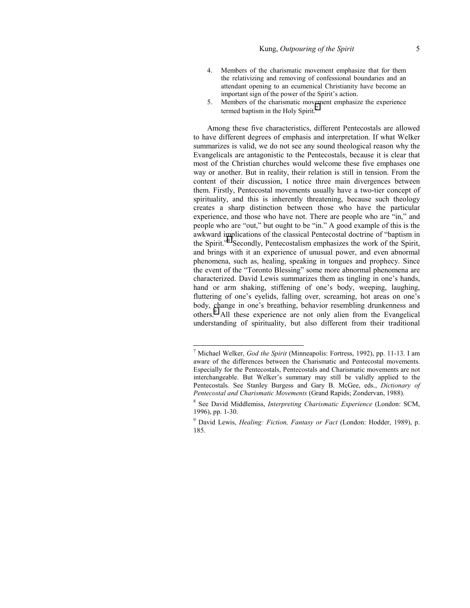- 4. Members of the charismatic movement emphasize that for them the relativizing and removing of confessional boundaries and an attendant opening to an ecumenical Christianity have become an important sign of the power of the Spirit's action.
- 5. Members of the charismatic movement emphasize the experience termed baptism in the Holy Spirit.<sup>7</sup>

Among these five characteristics, different Pentecostals are allowed to have different degrees of emphasis and interpretation. If what Welker summarizes is valid, we do not see any sound theological reason why the Evangelicals are antagonistic to the Pentecostals, because it is clear that most of the Christian churches would welcome these five emphases one way or another. But in reality, their relation is still in tension. From the content of their discussion, I notice three main divergences between them. Firstly, Pentecostal movements usually have a two-tier concept of spirituality, and this is inherently threatening, because such theology creates a sharp distinction between those who have the particular experience, and those who have not. There are people who are "in," and people who are "out," but ought to be "in." A good example of this is the awkward implications of the classical Pentecostal doctrine of "baptism in the Spirit."<sup>8</sup> Secondly, Pentecostalism emphasizes the work of the Spirit, and brings with it an experience of unusual power, and even abnormal phenomena, such as, healing, speaking in tongues and prophecy. Since the event of the "Toronto Blessing" some more abnormal phenomena are characterized. David Lewis summarizes them as tingling in one's hands, hand or arm shaking, stiffening of one's body, weeping, laughing, fluttering of one's eyelids, falling over, screaming, hot areas on one's body, change in one's breathing, behavior resembling drunkenness and others.<sup>9</sup> All these experience are not only alien from the Evangelical understanding of spirituality, but also different from their traditional

<sup>7</sup> Michael Welker, *God the Spirit* (Minneapolis: Fortress, 1992), pp. 11-13. I am aware of the differences between the Charismatic and Pentecostal movements. Especially for the Pentecostals, Pentecostals and Charismatic movements are not interchangeable. But Welker's summary may still be validly applied to the Pentecostals. See Stanley Burgess and Gary B. McGee, eds., *Dictionary of Pentecostal and Charismatic Movements* (Grand Rapids; Zondervan, 1988).

<sup>8</sup> See David Middlemiss, *Interpreting Charismatic Experience* (London: SCM, 1996), pp. 1-30.

<sup>9</sup> David Lewis, *Healing: Fiction, Fantasy or Fact* (London: Hodder, 1989), p. 185.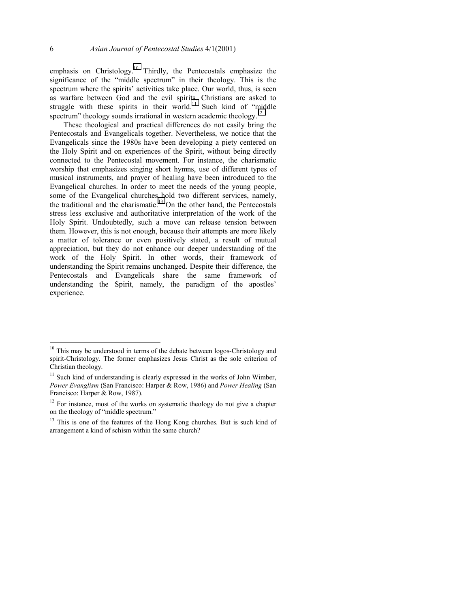emphasis on Christology.<sup>10</sup> Thirdly, the Pentecostals emphasize the significance of the "middle spectrum" in their theology. This is the spectrum where the spirits' activities take place. Our world, thus, is seen as warfare between God and the evil spirits. Christians are asked to struggle with these spirits in their world.<sup>11</sup> Such kind of "middle" spectrum" theology sounds irrational in western academic theology.<sup>12</sup>

These theological and practical differences do not easily bring the Pentecostals and Evangelicals together. Nevertheless, we notice that the Evangelicals since the 1980s have been developing a piety centered on the Holy Spirit and on experiences of the Spirit, without being directly connected to the Pentecostal movement. For instance, the charismatic worship that emphasizes singing short hymns, use of different types of musical instruments, and prayer of healing have been introduced to the Evangelical churches. In order to meet the needs of the young people, some of the Evangelical churches hold two different services, namely, the traditional and the charismatic. $13$  On the other hand, the Pentecostals stress less exclusive and authoritative interpretation of the work of the Holy Spirit. Undoubtedly, such a move can release tension between them. However, this is not enough, because their attempts are more likely a matter of tolerance or even positively stated, a result of mutual appreciation, but they do not enhance our deeper understanding of the work of the Holy Spirit. In other words, their framework of understanding the Spirit remains unchanged. Despite their difference, the Pentecostals and Evangelicals share the same framework of understanding the Spirit, namely, the paradigm of the apostles' experience.

 $10$  This may be understood in terms of the debate between logos-Christology and spirit-Christology. The former emphasizes Jesus Christ as the sole criterion of Christian theology.

 $11$  Such kind of understanding is clearly expressed in the works of John Wimber, *Power Evanglism* (San Francisco: Harper & Row, 1986) and *Power Healing* (San Francisco: Harper & Row, 1987).

 $12$  For instance, most of the works on systematic theology do not give a chapter on the theology of "middle spectrum."

<sup>&</sup>lt;sup>13</sup> This is one of the features of the Hong Kong churches. But is such kind of arrangement a kind of schism within the same church?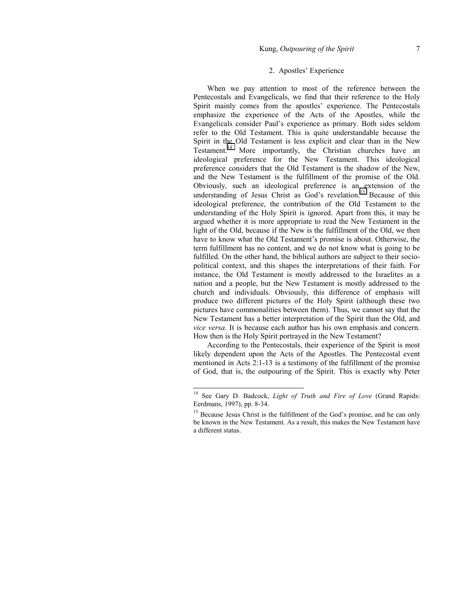### 2. Apostles' Experience

When we pay attention to most of the reference between the Pentecostals and Evangelicals, we find that their reference to the Holy Spirit mainly comes from the apostles' experience. The Pentecostals emphasize the experience of the Acts of the Apostles, while the Evangelicals consider Paul's experience as primary. Both sides seldom refer to the Old Testament. This is quite understandable because the Spirit in the Old Testament is less explicit and clear than in the New Testament.14 More importantly, the Christian churches have an ideological preference for the New Testament. This ideological preference considers that the Old Testament is the shadow of the New, and the New Testament is the fulfillment of the promise of the Old. Obviously, such an ideological preference is an extension of the understanding of Jesus Christ as God's revelation.<sup>15</sup> Because of this ideological preference, the contribution of the Old Testament to the understanding of the Holy Spirit is ignored. Apart from this, it may be argued whether it is more appropriate to read the New Testament in the light of the Old, because if the New is the fulfillment of the Old, we then have to know what the Old Testament's promise is about. Otherwise, the term fulfillment has no content, and we do not know what is going to be fulfilled. On the other hand, the biblical authors are subject to their sociopolitical context, and this shapes the interpretations of their faith. For instance, the Old Testament is mostly addressed to the Israelites as a nation and a people, but the New Testament is mostly addressed to the church and individuals. Obviously, this difference of emphasis will produce two different pictures of the Holy Spirit (although these two pictures have commonalities between them). Thus, we cannot say that the New Testament has a better interpretation of the Spirit than the Old, and *vice versa*. It is because each author has his own emphasis and concern. How then is the Holy Spirit portrayed in the New Testament?

According to the Pentecostals, their experience of the Spirit is most likely dependent upon the Acts of the Apostles. The Pentecostal event mentioned in Acts 2:1-13 is a testimony of the fulfillment of the promise of God, that is, the outpouring of the Spirit. This is exactly why Peter

 $14$ See Gary D. Badcock, *Light of Truth and Fire of Love* (Grand Rapids: Eerdmans, 1997), pp. 8-34.

<sup>&</sup>lt;sup>15</sup> Because Jesus Christ is the fulfillment of the God's promise, and he can only be known in the New Testament. As a result, this makes the New Testament have a different status.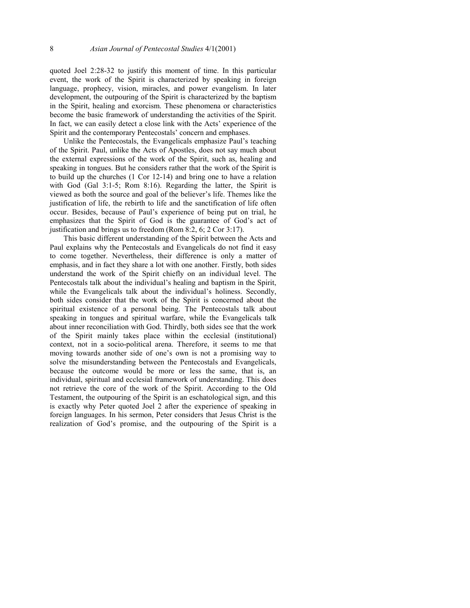quoted Joel 2:28-32 to justify this moment of time. In this particular event, the work of the Spirit is characterized by speaking in foreign language, prophecy, vision, miracles, and power evangelism. In later development, the outpouring of the Spirit is characterized by the baptism in the Spirit, healing and exorcism. These phenomena or characteristics become the basic framework of understanding the activities of the Spirit. In fact, we can easily detect a close link with the Acts' experience of the Spirit and the contemporary Pentecostals' concern and emphases.

Unlike the Pentecostals, the Evangelicals emphasize Paul's teaching of the Spirit. Paul, unlike the Acts of Apostles, does not say much about the external expressions of the work of the Spirit, such as, healing and speaking in tongues. But he considers rather that the work of the Spirit is to build up the churches (1 Cor 12-14) and bring one to have a relation with God (Gal 3:1-5; Rom 8:16). Regarding the latter, the Spirit is viewed as both the source and goal of the believer's life. Themes like the justification of life, the rebirth to life and the sanctification of life often occur. Besides, because of Paul's experience of being put on trial, he emphasizes that the Spirit of God is the guarantee of God's act of justification and brings us to freedom (Rom 8:2, 6; 2 Cor 3:17).

This basic different understanding of the Spirit between the Acts and Paul explains why the Pentecostals and Evangelicals do not find it easy to come together. Nevertheless, their difference is only a matter of emphasis, and in fact they share a lot with one another. Firstly, both sides understand the work of the Spirit chiefly on an individual level. The Pentecostals talk about the individual's healing and baptism in the Spirit, while the Evangelicals talk about the individual's holiness. Secondly, both sides consider that the work of the Spirit is concerned about the spiritual existence of a personal being. The Pentecostals talk about speaking in tongues and spiritual warfare, while the Evangelicals talk about inner reconciliation with God. Thirdly, both sides see that the work of the Spirit mainly takes place within the ecclesial (institutional) context, not in a socio-political arena. Therefore, it seems to me that moving towards another side of one's own is not a promising way to solve the misunderstanding between the Pentecostals and Evangelicals, because the outcome would be more or less the same, that is, an individual, spiritual and ecclesial framework of understanding. This does not retrieve the core of the work of the Spirit. According to the Old Testament, the outpouring of the Spirit is an eschatological sign, and this is exactly why Peter quoted Joel 2 after the experience of speaking in foreign languages. In his sermon, Peter considers that Jesus Christ is the realization of God's promise, and the outpouring of the Spirit is a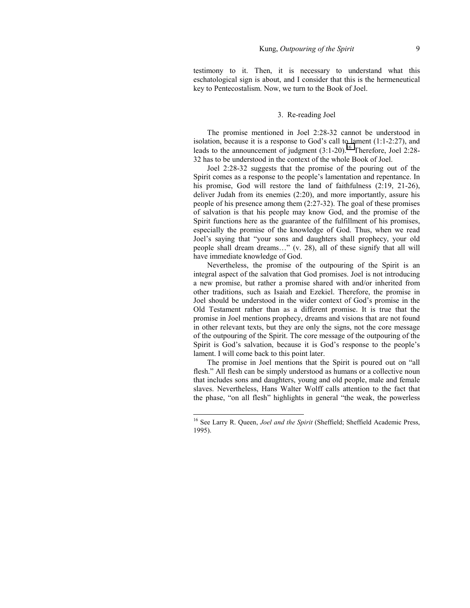### 3. Re-reading Joel

The promise mentioned in Joel 2:28-32 cannot be understood in isolation, because it is a response to God's call to lament (1:1-2:27), and leads to the announcement of judgment  $(3:1-20)$ .<sup>16</sup> Therefore, Joel 2:28-32 has to be understood in the context of the whole Book of Joel.

Joel 2:28-32 suggests that the promise of the pouring out of the Spirit comes as a response to the people's lamentation and repentance. In his promise, God will restore the land of faithfulness (2:19, 21-26), deliver Judah from its enemies (2:20), and more importantly, assure his people of his presence among them (2:27-32). The goal of these promises of salvation is that his people may know God, and the promise of the Spirit functions here as the guarantee of the fulfillment of his promises, especially the promise of the knowledge of God. Thus, when we read Joel's saying that "your sons and daughters shall prophecy, your old people shall dream dreams…" (v. 28), all of these signify that all will have immediate knowledge of God.

Nevertheless, the promise of the outpouring of the Spirit is an integral aspect of the salvation that God promises. Joel is not introducing a new promise, but rather a promise shared with and/or inherited from other traditions, such as Isaiah and Ezekiel. Therefore, the promise in Joel should be understood in the wider context of God's promise in the Old Testament rather than as a different promise. It is true that the promise in Joel mentions prophecy, dreams and visions that are not found in other relevant texts, but they are only the signs, not the core message of the outpouring of the Spirit. The core message of the outpouring of the Spirit is God's salvation, because it is God's response to the people's lament. I will come back to this point later.

The promise in Joel mentions that the Spirit is poured out on "all flesh." All flesh can be simply understood as humans or a collective noun that includes sons and daughters, young and old people, male and female slaves. Nevertheless, Hans Walter Wolff calls attention to the fact that the phase, "on all flesh" highlights in general "the weak, the powerless

l

<sup>16</sup> See Larry R. Queen, *Joel and the Spirit* (Sheffield; Sheffield Academic Press, 1995).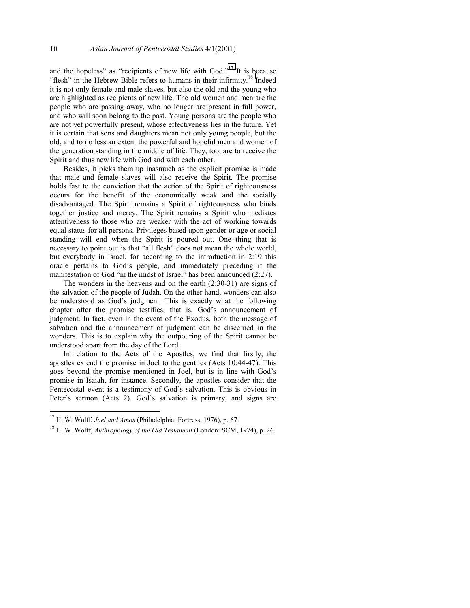and the hopeless" as "recipients of new life with God."<sup>17</sup> It is because "flesh" in the Hebrew Bible refers to humans in their infirmity.<sup>18</sup> Indeed it is not only female and male slaves, but also the old and the young who are highlighted as recipients of new life. The old women and men are the people who are passing away, who no longer are present in full power, and who will soon belong to the past. Young persons are the people who are not yet powerfully present, whose effectiveness lies in the future. Yet it is certain that sons and daughters mean not only young people, but the old, and to no less an extent the powerful and hopeful men and women of the generation standing in the middle of life. They, too, are to receive the Spirit and thus new life with God and with each other.

Besides, it picks them up inasmuch as the explicit promise is made that male and female slaves will also receive the Spirit. The promise holds fast to the conviction that the action of the Spirit of righteousness occurs for the benefit of the economically weak and the socially disadvantaged. The Spirit remains a Spirit of righteousness who binds together justice and mercy. The Spirit remains a Spirit who mediates attentiveness to those who are weaker with the act of working towards equal status for all persons. Privileges based upon gender or age or social standing will end when the Spirit is poured out. One thing that is necessary to point out is that "all flesh" does not mean the whole world, but everybody in Israel, for according to the introduction in 2:19 this oracle pertains to God's people, and immediately preceding it the manifestation of God "in the midst of Israel" has been announced (2:27).

The wonders in the heavens and on the earth (2:30-31) are signs of the salvation of the people of Judah. On the other hand, wonders can also be understood as God's judgment. This is exactly what the following chapter after the promise testifies, that is, God's announcement of judgment. In fact, even in the event of the Exodus, both the message of salvation and the announcement of judgment can be discerned in the wonders. This is to explain why the outpouring of the Spirit cannot be understood apart from the day of the Lord.

In relation to the Acts of the Apostles, we find that firstly, the apostles extend the promise in Joel to the gentiles (Acts 10:44-47). This goes beyond the promise mentioned in Joel, but is in line with God's promise in Isaiah, for instance. Secondly, the apostles consider that the Pentecostal event is a testimony of God's salvation. This is obvious in Peter's sermon (Acts 2). God's salvation is primary, and signs are

-

<sup>17</sup> H. W. Wolff, *Joel and Amos* (Philadelphia: Fortress, 1976), p. 67.

<sup>18</sup> H. W. Wolff, *Anthropology of the Old Testament* (London: SCM, 1974), p. 26.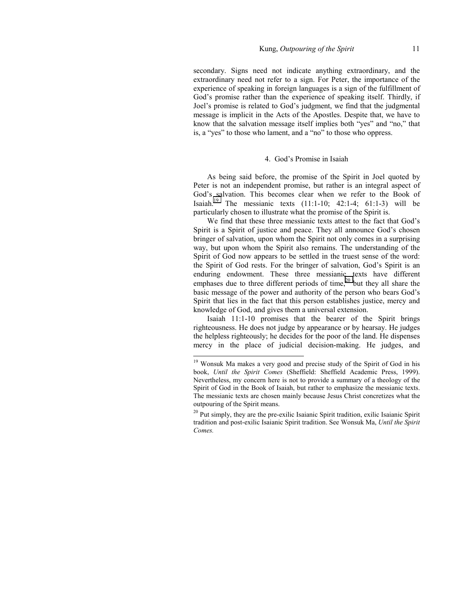### Kung, *Outpouring of the Spirit* 11

secondary. Signs need not indicate anything extraordinary, and the extraordinary need not refer to a sign. For Peter, the importance of the experience of speaking in foreign languages is a sign of the fulfillment of God's promise rather than the experience of speaking itself. Thirdly, if Joel's promise is related to God's judgment, we find that the judgmental message is implicit in the Acts of the Apostles. Despite that, we have to know that the salvation message itself implies both "yes" and "no," that is, a "yes" to those who lament, and a "no" to those who oppress.

### 4. God's Promise in Isaiah

As being said before, the promise of the Spirit in Joel quoted by Peter is not an independent promise, but rather is an integral aspect of God's salvation. This becomes clear when we refer to the Book of Isaiah.19 The messianic texts (11:1-10; 42:1-4; 61:1-3) will be particularly chosen to illustrate what the promise of the Spirit is.

We find that these three messianic texts attest to the fact that God's Spirit is a Spirit of justice and peace. They all announce God's chosen bringer of salvation, upon whom the Spirit not only comes in a surprising way, but upon whom the Spirit also remains. The understanding of the Spirit of God now appears to be settled in the truest sense of the word: the Spirit of God rests. For the bringer of salvation, God's Spirit is an enduring endowment. These three messianic texts have different emphases due to three different periods of time,<sup>20</sup> but they all share the basic message of the power and authority of the person who bears God's Spirit that lies in the fact that this person establishes justice, mercy and knowledge of God, and gives them a universal extension.

Isaiah 11:1-10 promises that the bearer of the Spirit brings righteousness. He does not judge by appearance or by hearsay. He judges the helpless righteously; he decides for the poor of the land. He dispenses mercy in the place of judicial decision-making. He judges, and

<sup>&</sup>lt;sup>19</sup> Wonsuk Ma makes a very good and precise study of the Spirit of God in his book, *Until the Spirit Comes* (Sheffield: Sheffield Academic Press, 1999). Nevertheless, my concern here is not to provide a summary of a theology of the Spirit of God in the Book of Isaiah, but rather to emphasize the messianic texts. The messianic texts are chosen mainly because Jesus Christ concretizes what the outpouring of the Spirit means.

<sup>&</sup>lt;sup>20</sup> Put simply, they are the pre-exilic Isaianic Spirit tradition, exilic Isaianic Spirit tradition and post-exilic Isaianic Spirit tradition. See Wonsuk Ma, *Until the Spirit Comes.*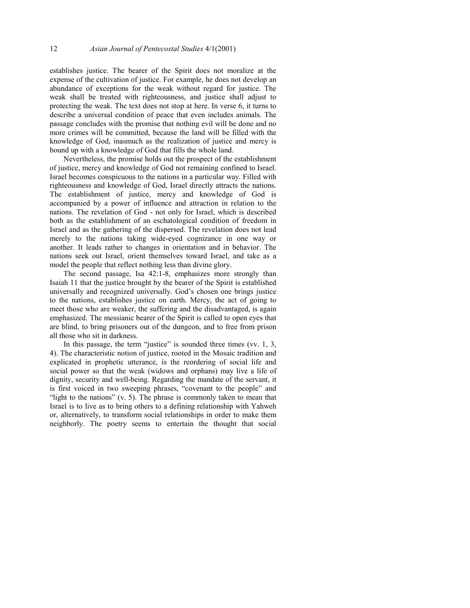establishes justice. The bearer of the Spirit does not moralize at the expense of the cultivation of justice. For example, he does not develop an abundance of exceptions for the weak without regard for justice. The weak shall be treated with righteousness, and justice shall adjust to protecting the weak. The text does not stop at here. In verse 6, it turns to describe a universal condition of peace that even includes animals. The passage concludes with the promise that nothing evil will be done and no more crimes will be committed, because the land will be filled with the knowledge of God, inasmuch as the realization of justice and mercy is bound up with a knowledge of God that fills the whole land.

Nevertheless, the promise holds out the prospect of the establishment of justice, mercy and knowledge of God not remaining confined to Israel. Israel becomes conspicuous to the nations in a particular way. Filled with righteousness and knowledge of God, Israel directly attracts the nations. The establishment of justice, mercy and knowledge of God is accompanied by a power of influence and attraction in relation to the nations. The revelation of God - not only for Israel, which is described both as the establishment of an eschatological condition of freedom in Israel and as the gathering of the dispersed. The revelation does not lead merely to the nations taking wide-eyed cognizance in one way or another. It leads rather to changes in orientation and in behavior. The nations seek out Israel, orient themselves toward Israel, and take as a model the people that reflect nothing less than divine glory.

The second passage, Isa 42:1-8, emphasizes more strongly than Isaiah 11 that the justice brought by the bearer of the Spirit is established universally and recognized universally. God's chosen one brings justice to the nations, establishes justice on earth. Mercy, the act of going to meet those who are weaker, the suffering and the disadvantaged, is again emphasized. The messianic bearer of the Spirit is called to open eyes that are blind, to bring prisoners out of the dungeon, and to free from prison all those who sit in darkness.

In this passage, the term "justice" is sounded three times (vv. 1, 3, 4). The characteristic notion of justice, rooted in the Mosaic tradition and explicated in prophetic utterance, is the reordering of social life and social power so that the weak (widows and orphans) may live a life of dignity, security and well-being. Regarding the mandate of the servant, it is first voiced in two sweeping phrases, "covenant to the people" and "light to the nations"  $(v, 5)$ . The phrase is commonly taken to mean that Israel is to live as to bring others to a defining relationship with Yahweh or, alternatively, to transform social relationships in order to make them neighborly. The poetry seems to entertain the thought that social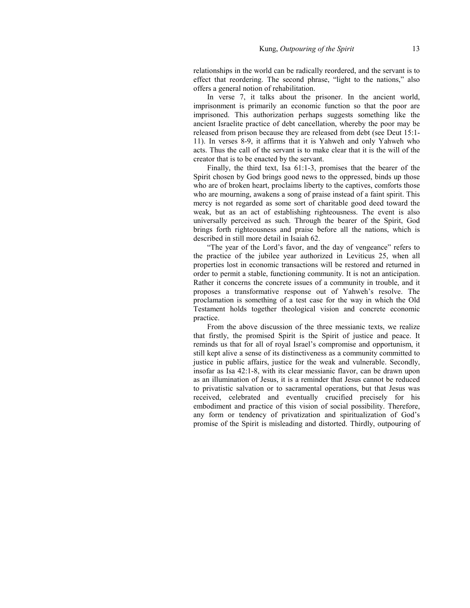relationships in the world can be radically reordered, and the servant is to effect that reordering. The second phrase, "light to the nations," also offers a general notion of rehabilitation.

In verse 7, it talks about the prisoner. In the ancient world, imprisonment is primarily an economic function so that the poor are imprisoned. This authorization perhaps suggests something like the ancient Israelite practice of debt cancellation, whereby the poor may be released from prison because they are released from debt (see Deut 15:1- 11). In verses 8-9, it affirms that it is Yahweh and only Yahweh who acts. Thus the call of the servant is to make clear that it is the will of the creator that is to be enacted by the servant.

Finally, the third text, Isa 61:1-3, promises that the bearer of the Spirit chosen by God brings good news to the oppressed, binds up those who are of broken heart, proclaims liberty to the captives, comforts those who are mourning, awakens a song of praise instead of a faint spirit. This mercy is not regarded as some sort of charitable good deed toward the weak, but as an act of establishing righteousness. The event is also universally perceived as such. Through the bearer of the Spirit, God brings forth righteousness and praise before all the nations, which is described in still more detail in Isaiah 62.

"The year of the Lord's favor, and the day of vengeance" refers to the practice of the jubilee year authorized in Leviticus 25, when all properties lost in economic transactions will be restored and returned in order to permit a stable, functioning community. It is not an anticipation. Rather it concerns the concrete issues of a community in trouble, and it proposes a transformative response out of Yahweh's resolve. The proclamation is something of a test case for the way in which the Old Testament holds together theological vision and concrete economic practice.

From the above discussion of the three messianic texts, we realize that firstly, the promised Spirit is the Spirit of justice and peace. It reminds us that for all of royal Israel's compromise and opportunism, it still kept alive a sense of its distinctiveness as a community committed to justice in public affairs, justice for the weak and vulnerable. Secondly, insofar as Isa 42:1-8, with its clear messianic flavor, can be drawn upon as an illumination of Jesus, it is a reminder that Jesus cannot be reduced to privatistic salvation or to sacramental operations, but that Jesus was received, celebrated and eventually crucified precisely for his embodiment and practice of this vision of social possibility. Therefore, any form or tendency of privatization and spiritualization of God's promise of the Spirit is misleading and distorted. Thirdly, outpouring of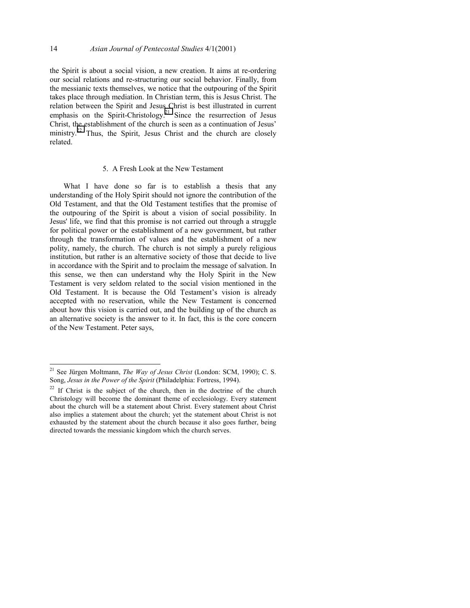the Spirit is about a social vision, a new creation. It aims at re-ordering our social relations and re-structuring our social behavior. Finally, from the messianic texts themselves, we notice that the outpouring of the Spirit takes place through mediation. In Christian term, this is Jesus Christ. The relation between the Spirit and Jesus Christ is best illustrated in current emphasis on the Spirit-Christology.<sup>21</sup> Since the resurrection of Jesus Christ, the establishment of the church is seen as a continuation of Jesus' ministry.<sup>22</sup> Thus, the Spirit, Jesus Christ and the church are closely related.

#### 5. A Fresh Look at the New Testament

What I have done so far is to establish a thesis that any understanding of the Holy Spirit should not ignore the contribution of the Old Testament, and that the Old Testament testifies that the promise of the outpouring of the Spirit is about a vision of social possibility. In Jesus' life, we find that this promise is not carried out through a struggle for political power or the establishment of a new government, but rather through the transformation of values and the establishment of a new polity, namely, the church. The church is not simply a purely religious institution, but rather is an alternative society of those that decide to live in accordance with the Spirit and to proclaim the message of salvation. In this sense, we then can understand why the Holy Spirit in the New Testament is very seldom related to the social vision mentioned in the Old Testament. It is because the Old Testament's vision is already accepted with no reservation, while the New Testament is concerned about how this vision is carried out, and the building up of the church as an alternative society is the answer to it. In fact, this is the core concern of the New Testament. Peter says,

<sup>21</sup> See Jürgen Moltmann, *The Way of Jesus Christ* (London: SCM, 1990); C. S. Song, *Jesus in the Power of the Spirit* (Philadelphia: Fortress, 1994).

 $22$  If Christ is the subject of the church, then in the doctrine of the church Christology will become the dominant theme of ecclesiology. Every statement about the church will be a statement about Christ. Every statement about Christ also implies a statement about the church; yet the statement about Christ is not exhausted by the statement about the church because it also goes further, being directed towards the messianic kingdom which the church serves.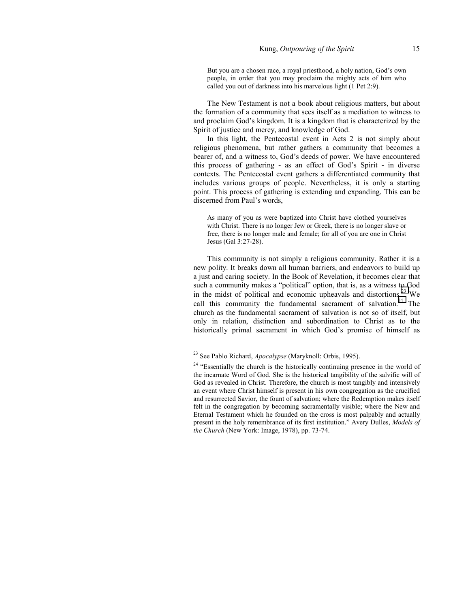But you are a chosen race, a royal priesthood, a holy nation, God's own people, in order that you may proclaim the mighty acts of him who called you out of darkness into his marvelous light (1 Pet 2:9).

The New Testament is not a book about religious matters, but about the formation of a community that sees itself as a mediation to witness to and proclaim God's kingdom. It is a kingdom that is characterized by the Spirit of justice and mercy, and knowledge of God.

In this light, the Pentecostal event in Acts 2 is not simply about religious phenomena, but rather gathers a community that becomes a bearer of, and a witness to, God's deeds of power. We have encountered this process of gathering - as an effect of God's Spirit - in diverse contexts. The Pentecostal event gathers a differentiated community that includes various groups of people. Nevertheless, it is only a starting point. This process of gathering is extending and expanding. This can be discerned from Paul's words,

As many of you as were baptized into Christ have clothed yourselves with Christ. There is no longer Jew or Greek, there is no longer slave or free, there is no longer male and female; for all of you are one in Christ Jesus (Gal 3:27-28).

This community is not simply a religious community. Rather it is a new polity. It breaks down all human barriers, and endeavors to build up a just and caring society. In the Book of Revelation, it becomes clear that such a community makes a "political" option, that is, as a witness to God in the midst of political and economic upheavals and distortions.<sup>23</sup> We call this community the fundamental sacrament of salvation.<sup>24</sup> The church as the fundamental sacrament of salvation is not so of itself, but only in relation, distinction and subordination to Christ as to the historically primal sacrament in which God's promise of himself as

<sup>23</sup> See Pablo Richard, *Apocalypse* (Maryknoll: Orbis, 1995).

<sup>&</sup>lt;sup>24</sup> "Essentially the church is the historically continuing presence in the world of the incarnate Word of God. She is the historical tangibility of the salvific will of God as revealed in Christ. Therefore, the church is most tangibly and intensively an event where Christ himself is present in his own congregation as the crucified and resurrected Savior, the fount of salvation; where the Redemption makes itself felt in the congregation by becoming sacramentally visible; where the New and Eternal Testament which he founded on the cross is most palpably and actually present in the holy remembrance of its first institution." Avery Dulles, *Models of the Church* (New York: Image, 1978), pp. 73-74.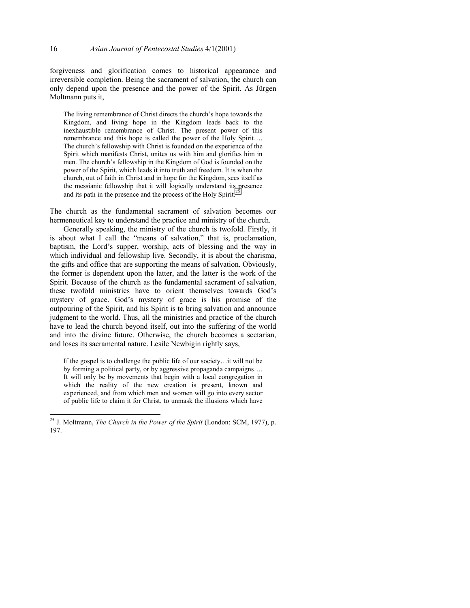forgiveness and glorification comes to historical appearance and irreversible completion. Being the sacrament of salvation, the church can only depend upon the presence and the power of the Spirit. As Jürgen Moltmann puts it,

The living remembrance of Christ directs the church's hope towards the Kingdom, and living hope in the Kingdom leads back to the inexhaustible remembrance of Christ. The present power of this remembrance and this hope is called the power of the Holy Spirit…. The church's fellowship with Christ is founded on the experience of the Spirit which manifests Christ, unites us with him and glorifies him in men. The church's fellowship in the Kingdom of God is founded on the power of the Spirit, which leads it into truth and freedom. It is when the church, out of faith in Christ and in hope for the Kingdom, sees itself as the messianic fellowship that it will logically understand its presence and its path in the presence and the process of the Holy Spirit.<sup>2</sup>

The church as the fundamental sacrament of salvation becomes our hermeneutical key to understand the practice and ministry of the church.

Generally speaking, the ministry of the church is twofold. Firstly, it is about what I call the "means of salvation," that is, proclamation, baptism, the Lord's supper, worship, acts of blessing and the way in which individual and fellowship live. Secondly, it is about the charisma, the gifts and office that are supporting the means of salvation. Obviously, the former is dependent upon the latter, and the latter is the work of the Spirit. Because of the church as the fundamental sacrament of salvation, these twofold ministries have to orient themselves towards God's mystery of grace. God's mystery of grace is his promise of the outpouring of the Spirit, and his Spirit is to bring salvation and announce judgment to the world. Thus, all the ministries and practice of the church have to lead the church beyond itself, out into the suffering of the world and into the divine future. Otherwise, the church becomes a sectarian, and loses its sacramental nature. Lesile Newbigin rightly says,

If the gospel is to challenge the public life of our society…it will not be by forming a political party, or by aggressive propaganda campaigns…. It will only be by movements that begin with a local congregation in which the reality of the new creation is present, known and experienced, and from which men and women will go into every sector of public life to claim it for Christ, to unmask the illusions which have

<sup>25</sup> J. Moltmann, *The Church in the Power of the Spirit* (London: SCM, 1977), p. 197.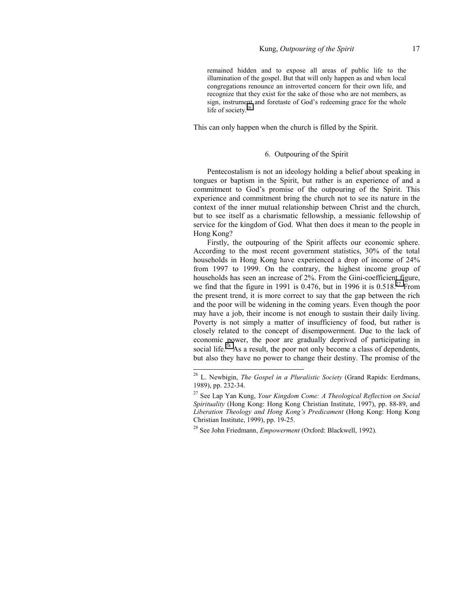remained hidden and to expose all areas of public life to the illumination of the gospel. But that will only happen as and when local congregations renounce an introverted concern for their own life, and recognize that they exist for the sake of those who are not members, as sign, instrument and foretaste of God's redeeming grace for the whole life of society.<sup>26</sup>

This can only happen when the church is filled by the Spirit.

# 6. Outpouring of the Spirit

Pentecostalism is not an ideology holding a belief about speaking in tongues or baptism in the Spirit, but rather is an experience of and a commitment to God's promise of the outpouring of the Spirit. This experience and commitment bring the church not to see its nature in the context of the inner mutual relationship between Christ and the church, but to see itself as a charismatic fellowship, a messianic fellowship of service for the kingdom of God. What then does it mean to the people in Hong Kong?

Firstly, the outpouring of the Spirit affects our economic sphere. According to the most recent government statistics, 30% of the total households in Hong Kong have experienced a drop of income of 24% from 1997 to 1999. On the contrary, the highest income group of households has seen an increase of 2%. From the Gini-coefficient figure, we find that the figure in 1991 is 0.476, but in 1996 it is  $0.518<sup>27</sup>$  From the present trend, it is more correct to say that the gap between the rich and the poor will be widening in the coming years. Even though the poor may have a job, their income is not enough to sustain their daily living. Poverty is not simply a matter of insufficiency of food, but rather is closely related to the concept of disempowerment. Due to the lack of economic power, the poor are gradually deprived of participating in social life.<sup>28</sup> As a result, the poor not only become a class of dependents, but also they have no power to change their destiny. The promise of the

<sup>26</sup> L. Newbigin, *The Gospel in a Pluralistic Society* (Grand Rapids: Eerdmans, 1989), pp. 232-34.

<sup>27</sup> See Lap Yan Kung, *Your Kingdom Come: A Theological Reflection on Social Spirituality* (Hong Kong: Hong Kong Christian Institute, 1997), pp. 88-89, and *Liberation Theology and Hong Kong's Predicament* (Hong Kong: Hong Kong Christian Institute, 1999), pp. 19-25.

<sup>28</sup> See John Friedmann, *Empowerment* (Oxford: Blackwell, 1992).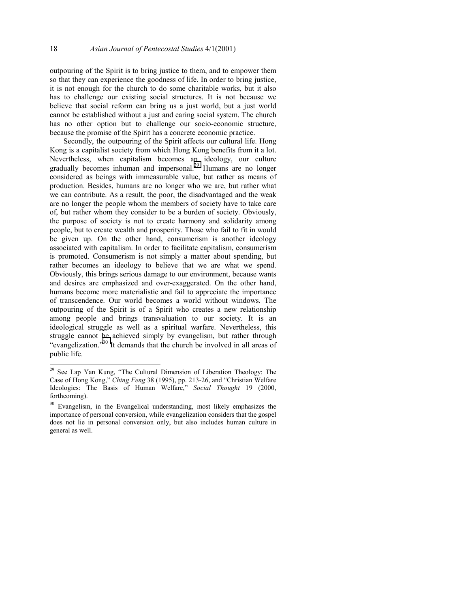outpouring of the Spirit is to bring justice to them, and to empower them so that they can experience the goodness of life. In order to bring justice, it is not enough for the church to do some charitable works, but it also has to challenge our existing social structures. It is not because we believe that social reform can bring us a just world, but a just world cannot be established without a just and caring social system. The church has no other option but to challenge our socio-economic structure, because the promise of the Spirit has a concrete economic practice.

Secondly, the outpouring of the Spirit affects our cultural life. Hong Kong is a capitalist society from which Hong Kong benefits from it a lot. Nevertheless, when capitalism becomes an ideology, our culture gradually becomes inhuman and impersonal.<sup>29</sup> Humans are no longer considered as beings with immeasurable value, but rather as means of production. Besides, humans are no longer who we are, but rather what we can contribute. As a result, the poor, the disadvantaged and the weak are no longer the people whom the members of society have to take care of, but rather whom they consider to be a burden of society. Obviously, the purpose of society is not to create harmony and solidarity among people, but to create wealth and prosperity. Those who fail to fit in would be given up. On the other hand, consumerism is another ideology associated with capitalism. In order to facilitate capitalism, consumerism is promoted. Consumerism is not simply a matter about spending, but rather becomes an ideology to believe that we are what we spend. Obviously, this brings serious damage to our environment, because wants and desires are emphasized and over-exaggerated. On the other hand, humans become more materialistic and fail to appreciate the importance of transcendence. Our world becomes a world without windows. The outpouring of the Spirit is of a Spirit who creates a new relationship among people and brings transvaluation to our society. It is an ideological struggle as well as a spiritual warfare. Nevertheless, this struggle cannot be achieved simply by evangelism, but rather through "evangelization."<sup>30</sup> It demands that the church be involved in all areas of public life.

<sup>&</sup>lt;sup>29</sup> See Lap Yan Kung, "The Cultural Dimension of Liberation Theology: The Case of Hong Kong," *Ching Feng* 38 (1995), pp. 213-26, and "Christian Welfare Ideologies: The Basis of Human Welfare," *Social Thought* 19 (2000, forthcoming).

<sup>&</sup>lt;sup>30</sup> Evangelism, in the Evangelical understanding, most likely emphasizes the importance of personal conversion, while evangelization considers that the gospel does not lie in personal conversion only, but also includes human culture in general as well.